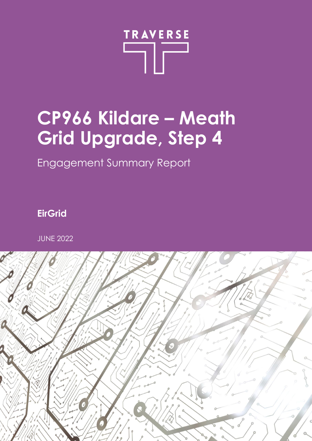

# **CP966 Kildare – Meath Grid Upgrade, Step 4**

Engagement Summary Report

**EirGrid**

JUNE 2022

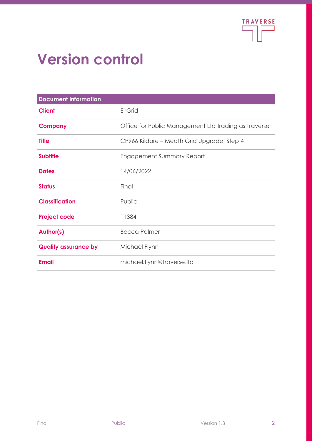

# **Version control**

| <b>Document information</b> |                                                      |
|-----------------------------|------------------------------------------------------|
| <b>Client</b>               | <b>EirGrid</b>                                       |
| <b>Company</b>              | Office for Public Management Ltd trading as Traverse |
| <b>Title</b>                | CP966 Kildare - Meath Grid Upgrade, Step 4           |
| <b>Subtitle</b>             | <b>Engagement Summary Report</b>                     |
| <b>Dates</b>                | 14/06/2022                                           |
| <b>Status</b>               | Final                                                |
| <b>Classification</b>       | Public                                               |
| <b>Project code</b>         | 11384                                                |
| <b>Author(s)</b>            | <b>Becca Palmer</b>                                  |
| <b>Quality assurance by</b> | Michael Flynn                                        |
| <b>Email</b>                | michael.flynn@traverse.Itd                           |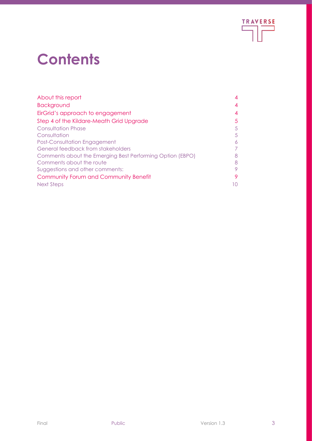

# **Contents**

| About this report                                         | 4  |
|-----------------------------------------------------------|----|
| <b>Background</b>                                         | 4  |
| EirGrid's approach to engagement                          | 4  |
| Step 4 of the Kildare-Meath Grid Upgrade                  |    |
| <b>Consultation Phase</b>                                 | 5  |
| Consultation                                              | 5  |
| <b>Post-Consultation Engagement</b>                       | 6  |
| General feedback from stakeholders                        |    |
| Comments about the Emerging Best Performing Option (EBPO) | 8  |
| Comments about the route                                  | 8  |
| Suggestions and other comments:                           | 9  |
| Community Forum and Community Benefit                     |    |
| Next Steps                                                | 10 |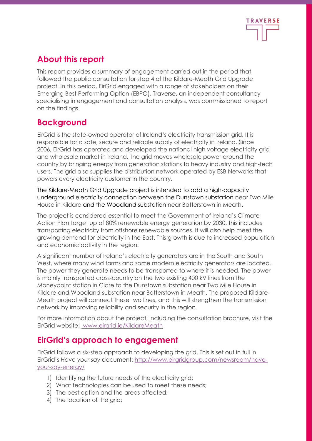

# <span id="page-3-0"></span>**About this report**

This report provides a summary of engagement carried out in the period that followed the public consultation for step 4 of the Kildare-Meath Grid Upgrade project. In this period, EirGrid engaged with a range of stakeholders on their Emerging Best Performing Option (EBPO). Traverse, an independent consultancy specialising in engagement and consultation analysis, was commissioned to report on the findings.

# <span id="page-3-1"></span>**Background**

EirGrid is the state-owned operator of Ireland's electricity transmission grid. It is responsible for a safe, secure and reliable supply of electricity in Ireland. Since 2006, EirGrid has operated and developed the national high voltage electricity grid and wholesale market in Ireland. The grid moves wholesale power around the country by bringing energy from generation stations to heavy industry and high-tech users. The grid also supplies the distribution network operated by ESB Networks that powers every electricity customer in the country.

The Kildare-Meath Grid Upgrade project is intended to add a high-capacity underground electricity connection between the Dunstown substation near Two Mile House in Kildare and the Woodland substation near Batterstown in Meath.

The project is considered essential to meet the Government of Ireland's Climate Action Plan target up of 80% renewable energy generation by 2030, this includes transporting electricity from offshore renewable sources. It will also help meet the growing demand for electricity in the East. This growth is due to increased population and economic activity in the region.

A significant number of Ireland's electricity generators are in the South and South West, where many wind farms and some modern electricity generators are located. The power they generate needs to be transported to where it is needed. The power is mainly transported cross-country on the two existing 400 kV lines from the Moneypoint station in Clare to the Dunstown substation near Two Mile House in Kildare and Woodland substation near Batterstown in Meath. The proposed Kildare-Meath project will connect these two lines, and this will strengthen the transmission network by improving reliability and security in the region.

For more information about the project, including the consultation brochure, visit the EirGrid website: www.eirgrid.ie/KildareMeath

# <span id="page-3-2"></span>**EirGrid's approach to engagement**

EirGrid follows a six-step approach to developing the grid. This is set out in full in EirGrid's *Have your say* document: [http://www.eirgridgroup.com/newsroom/have](http://www.eirgridgroup.com/newsroom/have-your-say-energy/)[your-say-energy/](http://www.eirgridgroup.com/newsroom/have-your-say-energy/)

- 1) Identifying the future needs of the electricity grid;
- 2) What technologies can be used to meet these needs;
- 3) The best option and the areas affected;
- 4) The location of the grid;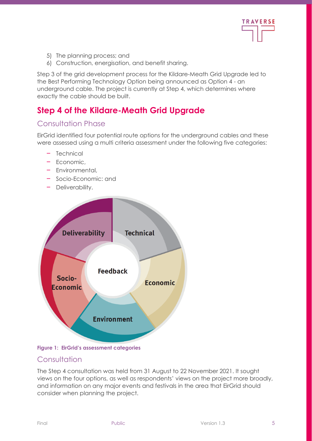

- 5) The planning process; and
- 6) Construction, energisation, and benefit sharing.

Step 3 of the grid development process for the Kildare-Meath Grid Upgrade led to the Best Performing Technology Option being announced as Option 4 - an underground cable. The project is currently at Step 4, which determines where exactly the cable should be built.

# <span id="page-4-0"></span>**Step 4 of the Kildare-Meath Grid Upgrade**

## <span id="page-4-1"></span>Consultation Phase

EirGrid identified four potential route options for the underground cables and these were assessed using a multi criteria assessment under the following five categories:

- **‒** Technical
- **‒** Economic,
- **‒** Environmental,
- **‒** Socio-Economic: and
- **‒** Deliverability.



#### **Figure 1: EirGrid's assessment categories**

### <span id="page-4-2"></span>**Consultation**

The Step 4 consultation was held from 31 August to 22 November 2021. It sought views on the four options, as well as respondents' views on the project more broadly, and information on any major events and festivals in the area that EirGrid should consider when planning the project.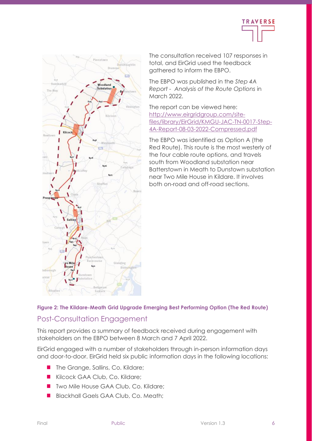



The consultation received 107 responses in total, and EirGrid used the feedback gathered to inform the EBPO.

The EBPO was published in the *Step 4A Report - Analysis of the Route Options* in March 2022.

The report can be viewed here: [http://www.eirgridgroup.com/site](http://www.eirgridgroup.com/site-files/library/EirGrid/KMGU-JAC-TN-0017-Step-4A-Report-08-03-2022-Compressed.pdf)[files/library/EirGrid/KMGU-JAC-TN-0017-Step-](http://www.eirgridgroup.com/site-files/library/EirGrid/KMGU-JAC-TN-0017-Step-4A-Report-08-03-2022-Compressed.pdf)[4A-Report-08-03-2022-Compressed.pdf](http://www.eirgridgroup.com/site-files/library/EirGrid/KMGU-JAC-TN-0017-Step-4A-Report-08-03-2022-Compressed.pdf)

<span id="page-5-0"></span>The EBPO was identified as Option A (the Red Route). This route is the most westerly of the four cable route options, and travels south from Woodland substation near Batterstown in Meath to Dunstown substation near Two Mile House in Kildare. It involves both on-road and off-road sections.

#### **Figure 2: The Kildare-Meath Grid Upgrade Emerging Best Performing Option (The Red Route)**

## Post-Consultation Engagement

This report provides a summary of feedback received during engagement with stakeholders on the EBPO between 8 March and 7 April 2022.

EirGrid engaged with a number of stakeholders through in-person information days and door-to-door. EirGrid held six public information days in the following locations:

- The Grange, Sallins, Co. Kildare;
- Kilcock GAA Club, Co. Kildare:
- Two Mile House GAA Club, Co. Kildare;
- Blackhall Gaels GAA Club, Co. Meath: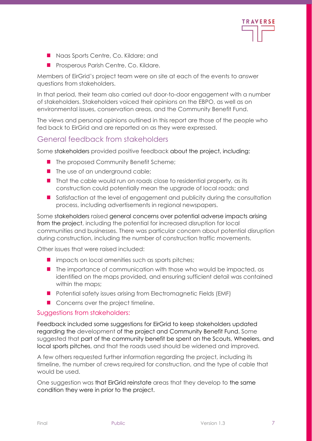

- Naas Sports Centre, Co. Kildare; and
- Prosperous Parish Centre, Co. Kildare.

Members of EirGrid's project team were on site at each of the events to answer questions from stakeholders.

In that period, their team also carried out door-to-door engagement with a number of stakeholders. Stakeholders voiced their opinions on the EBPO, as well as on environmental issues, conservation areas, and the Community Benefit Fund.

The views and personal opinions outlined in this report are those of the people who fed back to EirGrid and are reported on as they were expressed.

## <span id="page-6-0"></span>General feedback from stakeholders

Some stakeholders provided positive feedback about the project, including:

- The proposed Community Benefit Scheme;
- The use of an underground cable;
- That the cable would run on roads close to residential property, as its construction could potentially mean the upgrade of local roads; and
- Satisfaction at the level of engagement and publicity during the consultation process, including advertisements in regional newspapers.

Some stakeholders raised general concerns over potential adverse impacts arising from the project, including the potential for increased disruption for local communities and businesses. There was particular concern about potential disruption during construction, including the number of construction traffic movements.

Other issues that were raised included:

- impacts on local amenities such as sports pitches;
- The importance of communication with those who would be impacted, as identified on the maps provided, and ensuring sufficient detail was contained within the maps;
- Potential safety issues arising from Electromagnetic Fields (EMF)
- Concerns over the project timeline.

#### Suggestions from stakeholders:

Feedback included some suggestions for EirGrid to keep stakeholders updated regarding the development of the project and Community Benefit Fund. Some suggested that part of the community benefit be spent on the Scouts, Wheelers, and local sports pitches, and that the roads used should be widened and improved.

A few others requested further information regarding the project, including its timeline, the number of crews required for construction, and the type of cable that would be used.

One suggestion was that EirGrid reinstate areas that they develop to the same condition they were in prior to the project.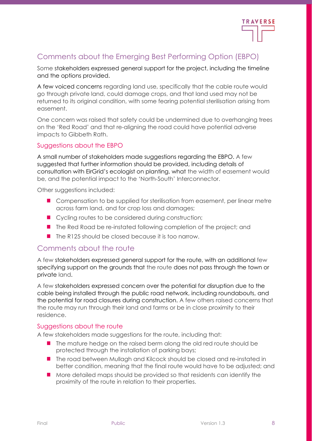

## <span id="page-7-0"></span>Comments about the Emerging Best Performing Option (EBPO)

Some stakeholders expressed general support for the project, including the timeline and the options provided.

A few voiced concerns regarding land use, specifically that the cable route would go through private land, could damage crops, and that land used may not be returned to its original condition, with some fearing potential sterilisation arising from easement.

One concern was raised that safety could be undermined due to overhanging trees on the 'Red Road' and that re-aligning the road could have potential adverse impacts to Gibbeth Rath.

#### Suggestions about the EBPO

A small number of stakeholders made suggestions regarding the EBPO. A few suggested that further information should be provided, including details of consultation with EirGrid's ecologist on planting, what the width of easement would be, and the potential impact to the 'North-South' Interconnector.

Other suggestions included:

- Compensation to be supplied for sterilisation from easement, per linear metre across farm land, and for crop loss and damages;
- Cycling routes to be considered during construction;
- The Red Road be re-instated following completion of the project; and
- <span id="page-7-1"></span>■ The R125 should be closed because it is too narrow.

### Comments about the route

A few stakeholders expressed general support for the route, with an additional few specifying support on the grounds that the route does not pass through the town or private land.

A few stakeholders expressed concern over the potential for disruption due to the cable being installed through the public road network, including roundabouts, and the potential for road closures during construction. A few others raised concerns that the route may run through their land and farms or be in close proximity to their residence.

#### Suggestions about the route

A few stakeholders made suggestions for the route, including that:

- The mature hedge on the raised berm along the old red route should be protected through the installation of parking bays;
- The road between Mullagh and Kilcock should be closed and re-instated in better condition, meaning that the final route would have to be adjusted; and
- More detailed maps should be provided so that residents can identify the proximity of the route in relation to their properties.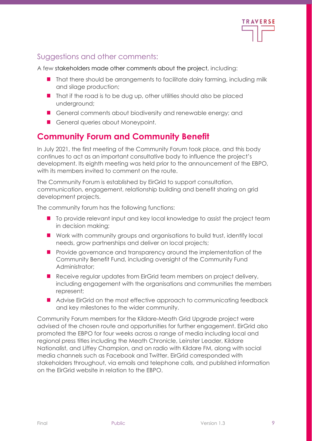

## <span id="page-8-0"></span>Suggestions and other comments:

A few stakeholders made other comments about the project, including:

- That there should be arrangements to facilitate dairy farming, including milk and silage production;
- That if the road is to be dug up, other utilities should also be placed underground;
- General comments about biodiversity and renewable energy; and
- General queries about Moneypoint.

## <span id="page-8-1"></span>**Community Forum and Community Benefit**

In July 2021, the first meeting of the Community Forum took place, and this body continues to act as an important consultative body to influence the project's development. Its eighth meeting was held prior to the announcement of the EBPO, with its members invited to comment on the route.

The Community Forum is established by EirGrid to support consultation, communication, engagement, relationship building and benefit sharing on grid development projects.

The community forum has the following functions:

- To provide relevant input and key local knowledge to assist the project team in decision making;
- Work with community groups and organisations to build trust, identify local needs, grow partnerships and deliver on local projects;
- Provide governance and transparency around the implementation of the Community Benefit Fund, including oversight of the Community Fund Administrator;
- Receive regular updates from EirGrid team members on project delivery, including engagement with the organisations and communities the members represent;
- Advise EirGrid on the most effective approach to communicating feedback and key milestones to the wider community.

Community Forum members for the Kildare-Meath Grid Upgrade project were advised of the chosen route and opportunities for further engagement. EirGrid also promoted the EBPO for four weeks across a range of media including local and regional press titles including the Meath Chronicle, Leinster Leader, Kildare Nationalist, and Liffey Champion, and on radio with Kildare FM, along with social media channels such as Facebook and Twitter. EirGrid corresponded with stakeholders throughout, via emails and telephone calls, and published information on the EirGrid website in relation to the EBPO.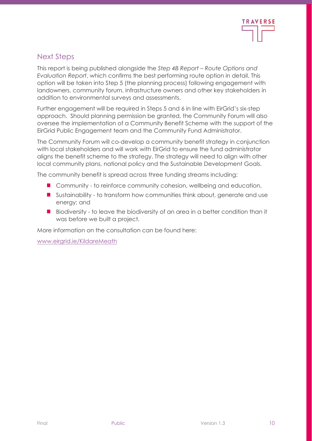

## <span id="page-9-0"></span>Next Steps

This report is being published alongside the *Step 4B Report – Route Options and Evaluation Report*, which confirms the best performing route option in detail. This option will be taken into Step 5 (the planning process) following engagement with landowners, community forum, infrastructure owners and other key stakeholders in addition to environmental surveys and assessments.

Further engagement will be required in Steps 5 and 6 in line with EirGrid's six-step approach. Should planning permission be granted, the Community Forum will also oversee the implementation of a Community Benefit Scheme with the support of the EirGrid Public Engagement team and the Community Fund Administrator.

The Community Forum will co-develop a community benefit strategy in conjunction with local stakeholders and will work with EirGrid to ensure the fund administrator aligns the benefit scheme to the strategy. The strategy will need to align with other local community plans, national policy and the Sustainable Development Goals.

The community benefit is spread across three funding streams including:

- Community to reinforce community cohesion, wellbeing and education,
- Sustainability to transform how communities think about, generate and use energy; and
- Biodiversity to leave the biodiversity of an area in a better condition than it was before we built a project.

More information on the consultation can be found here:

www.eirgrid.ie/KildareMeath